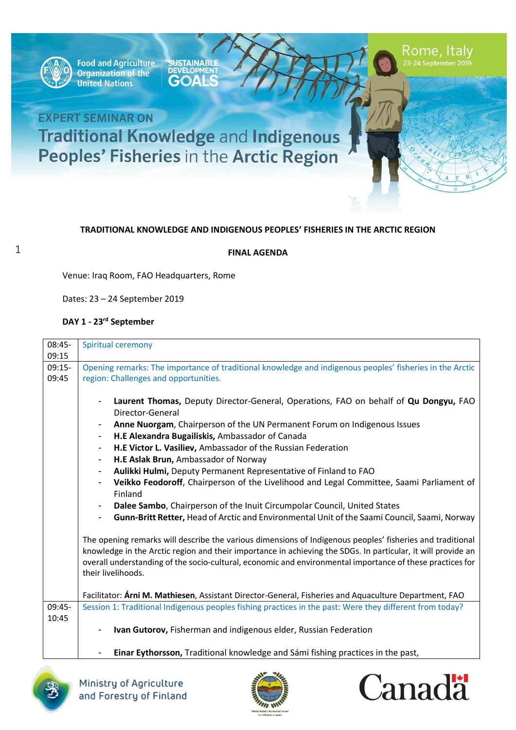

Food and Agriculture **United Nations** 

**SUSTAINABLE**<br>DEVELOPMENT **GOALS** 

## **EXPERT SEMINAR ON Traditional Knowledge and Indigenous** Peoples' Fisheries in the Arctic Region

#### **TRADITIONAL KNOWLEDGE AND INDIGENOUS PEOPLES' FISHERIES IN THE ARCTIC REGION**

#### **FINAL AGENDA**

Venue: Iraq Room, FAO Headquarters, Rome

Dates: 23 – 24 September 2019

### **DAY 1 - 23rd September**

| 08:45-   | Spiritual ceremony                                                                                                                                                                                                                                                                                                                                                                                                                                                                                                                                                                                                                                                                                                                                                                                                                                                                                                                                                                                                                                                                                                                                                                                                                                                   |  |  |
|----------|----------------------------------------------------------------------------------------------------------------------------------------------------------------------------------------------------------------------------------------------------------------------------------------------------------------------------------------------------------------------------------------------------------------------------------------------------------------------------------------------------------------------------------------------------------------------------------------------------------------------------------------------------------------------------------------------------------------------------------------------------------------------------------------------------------------------------------------------------------------------------------------------------------------------------------------------------------------------------------------------------------------------------------------------------------------------------------------------------------------------------------------------------------------------------------------------------------------------------------------------------------------------|--|--|
| 09:15    |                                                                                                                                                                                                                                                                                                                                                                                                                                                                                                                                                                                                                                                                                                                                                                                                                                                                                                                                                                                                                                                                                                                                                                                                                                                                      |  |  |
| $09:15-$ | Opening remarks: The importance of traditional knowledge and indigenous peoples' fisheries in the Arctic                                                                                                                                                                                                                                                                                                                                                                                                                                                                                                                                                                                                                                                                                                                                                                                                                                                                                                                                                                                                                                                                                                                                                             |  |  |
| 09:45    | region: Challenges and opportunities.                                                                                                                                                                                                                                                                                                                                                                                                                                                                                                                                                                                                                                                                                                                                                                                                                                                                                                                                                                                                                                                                                                                                                                                                                                |  |  |
|          | Laurent Thomas, Deputy Director-General, Operations, FAO on behalf of Qu Dongyu, FAO<br>Director-General<br>Anne Nuorgam, Chairperson of the UN Permanent Forum on Indigenous Issues<br>-<br>H.E Alexandra Bugailiskis, Ambassador of Canada<br>-<br>H.E Victor L. Vasiliev, Ambassador of the Russian Federation<br>-<br>H.E Aslak Brun, Ambassador of Norway<br>-<br>Aulikki Hulmi, Deputy Permanent Representative of Finland to FAO<br>-<br>Veikko Feodoroff, Chairperson of the Livelihood and Legal Committee, Saami Parliament of<br>$\overline{\phantom{0}}$<br>Finland<br>Dalee Sambo, Chairperson of the Inuit Circumpolar Council, United States<br>$\qquad \qquad \blacksquare$<br>Gunn-Britt Retter, Head of Arctic and Environmental Unit of the Saami Council, Saami, Norway<br>The opening remarks will describe the various dimensions of Indigenous peoples' fisheries and traditional<br>knowledge in the Arctic region and their importance in achieving the SDGs. In particular, it will provide an<br>overall understanding of the socio-cultural, economic and environmental importance of these practices for<br>their livelihoods.<br>Facilitator: Árni M. Mathiesen, Assistant Director-General, Fisheries and Aquaculture Department, FAO |  |  |
| 09:45-   | Session 1: Traditional Indigenous peoples fishing practices in the past: Were they different from today?                                                                                                                                                                                                                                                                                                                                                                                                                                                                                                                                                                                                                                                                                                                                                                                                                                                                                                                                                                                                                                                                                                                                                             |  |  |
| 10:45    |                                                                                                                                                                                                                                                                                                                                                                                                                                                                                                                                                                                                                                                                                                                                                                                                                                                                                                                                                                                                                                                                                                                                                                                                                                                                      |  |  |
|          | Ivan Gutorov, Fisherman and indigenous elder, Russian Federation                                                                                                                                                                                                                                                                                                                                                                                                                                                                                                                                                                                                                                                                                                                                                                                                                                                                                                                                                                                                                                                                                                                                                                                                     |  |  |
|          | Einar Eythorsson, Traditional knowledge and Sámi fishing practices in the past,                                                                                                                                                                                                                                                                                                                                                                                                                                                                                                                                                                                                                                                                                                                                                                                                                                                                                                                                                                                                                                                                                                                                                                                      |  |  |





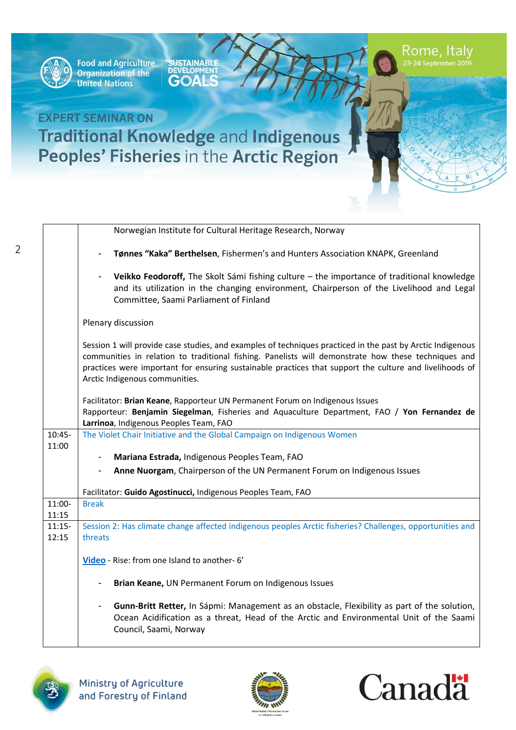

 $\overline{2}$ 

Food and Agriculture<br>Organization of the<br>United Nations

SUSTAINABLE<br>DEVELOPMENT<br>G**ALS** 

|                   | Norwegian Institute for Cultural Heritage Research, Norway                                                                                                                                                                                                                                                                                                     |
|-------------------|----------------------------------------------------------------------------------------------------------------------------------------------------------------------------------------------------------------------------------------------------------------------------------------------------------------------------------------------------------------|
|                   | Tønnes "Kaka" Berthelsen, Fishermen's and Hunters Association KNAPK, Greenland                                                                                                                                                                                                                                                                                 |
|                   | Veikko Feodoroff, The Skolt Sámi fishing culture - the importance of traditional knowledge<br>and its utilization in the changing environment, Chairperson of the Livelihood and Legal<br>Committee, Saami Parliament of Finland                                                                                                                               |
|                   | Plenary discussion                                                                                                                                                                                                                                                                                                                                             |
|                   | Session 1 will provide case studies, and examples of techniques practiced in the past by Arctic Indigenous<br>communities in relation to traditional fishing. Panelists will demonstrate how these techniques and<br>practices were important for ensuring sustainable practices that support the culture and livelihoods of<br>Arctic Indigenous communities. |
|                   | Facilitator: Brian Keane, Rapporteur UN Permanent Forum on Indigenous Issues<br>Rapporteur: Benjamin Siegelman, Fisheries and Aquaculture Department, FAO / Yon Fernandez de<br>Larrinoa, Indigenous Peoples Team, FAO                                                                                                                                         |
| $10:45-$          | The Violet Chair Initiative and the Global Campaign on Indigenous Women                                                                                                                                                                                                                                                                                        |
| 11:00             | Mariana Estrada, Indigenous Peoples Team, FAO<br>-                                                                                                                                                                                                                                                                                                             |
|                   | Anne Nuorgam, Chairperson of the UN Permanent Forum on Indigenous Issues                                                                                                                                                                                                                                                                                       |
|                   | Facilitator: Guido Agostinucci, Indigenous Peoples Team, FAO                                                                                                                                                                                                                                                                                                   |
| $11:00-$<br>11:15 | <b>Break</b>                                                                                                                                                                                                                                                                                                                                                   |
| $11:15-$<br>12:15 | Session 2: Has climate change affected indigenous peoples Arctic fisheries? Challenges, opportunities and<br>threats                                                                                                                                                                                                                                           |
|                   | Video - Rise: from one Island to another- 6'                                                                                                                                                                                                                                                                                                                   |
|                   | Brian Keane, UN Permanent Forum on Indigenous Issues                                                                                                                                                                                                                                                                                                           |
|                   | Gunn-Britt Retter, In Sápmi: Management as an obstacle, Flexibility as part of the solution,<br>Ocean Acidification as a threat, Head of the Arctic and Environmental Unit of the Saami<br>Council, Saami, Norway                                                                                                                                              |





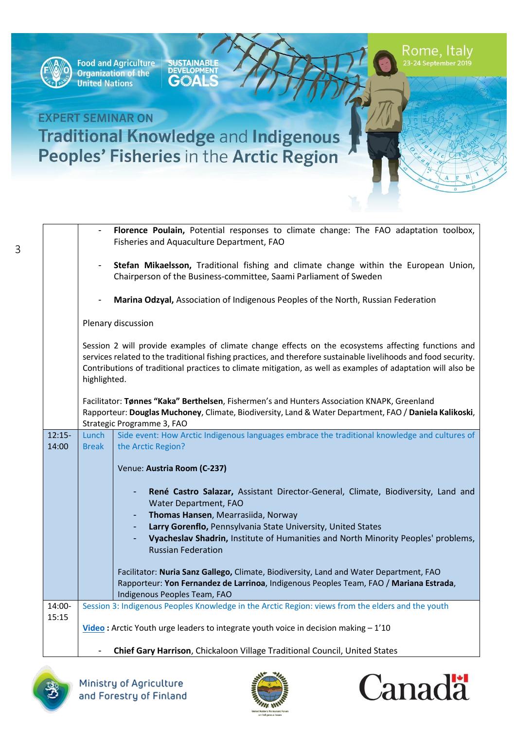

Food and Agriculture<br>Organization of the<br>United Nations

SUSTAINABLE<br>DEVELOPMENT<br>G**ALS** 

|                   | Florence Poulain, Potential responses to climate change: The FAO adaptation toolbox,<br>$\blacksquare$<br>Fisheries and Aquaculture Department, FAO                                                                                                                                                                                                    |
|-------------------|--------------------------------------------------------------------------------------------------------------------------------------------------------------------------------------------------------------------------------------------------------------------------------------------------------------------------------------------------------|
|                   | Stefan Mikaelsson, Traditional fishing and climate change within the European Union,<br>$\overline{\phantom{a}}$<br>Chairperson of the Business-committee, Saami Parliament of Sweden                                                                                                                                                                  |
|                   | Marina Odzyal, Association of Indigenous Peoples of the North, Russian Federation                                                                                                                                                                                                                                                                      |
|                   | Plenary discussion                                                                                                                                                                                                                                                                                                                                     |
|                   | Session 2 will provide examples of climate change effects on the ecosystems affecting functions and<br>services related to the traditional fishing practices, and therefore sustainable livelihoods and food security.<br>Contributions of traditional practices to climate mitigation, as well as examples of adaptation will also be<br>highlighted. |
|                   | Facilitator: Tønnes "Kaka" Berthelsen, Fishermen's and Hunters Association KNAPK, Greenland<br>Rapporteur: Douglas Muchoney, Climate, Biodiversity, Land & Water Department, FAO / Daniela Kalikoski,<br>Strategic Programme 3, FAO                                                                                                                    |
| $12:15-$<br>14:00 | Side event: How Arctic Indigenous languages embrace the traditional knowledge and cultures of<br>Lunch<br><b>Break</b><br>the Arctic Region?                                                                                                                                                                                                           |
|                   | Venue: Austria Room (C-237)                                                                                                                                                                                                                                                                                                                            |
|                   | René Castro Salazar, Assistant Director-General, Climate, Biodiversity, Land and<br>Water Department, FAO                                                                                                                                                                                                                                              |
|                   | Thomas Hansen, Mearrasiida, Norway                                                                                                                                                                                                                                                                                                                     |
|                   | Larry Gorenflo, Pennsylvania State University, United States<br>Vyacheslav Shadrin, Institute of Humanities and North Minority Peoples' problems,<br><b>Russian Federation</b>                                                                                                                                                                         |
|                   | Facilitator: Nuria Sanz Gallego, Climate, Biodiversity, Land and Water Department, FAO<br>Rapporteur: Yon Fernandez de Larrinoa, Indigenous Peoples Team, FAO / Mariana Estrada,<br>Indigenous Peoples Team, FAO                                                                                                                                       |
| 14:00-            | Session 3: Indigenous Peoples Knowledge in the Arctic Region: views from the elders and the youth                                                                                                                                                                                                                                                      |
| 15:15             | Video: Arctic Youth urge leaders to integrate youth voice in decision making $-1'10$                                                                                                                                                                                                                                                                   |
|                   | Chief Gary Harrison, Chickaloon Village Traditional Council, United States                                                                                                                                                                                                                                                                             |





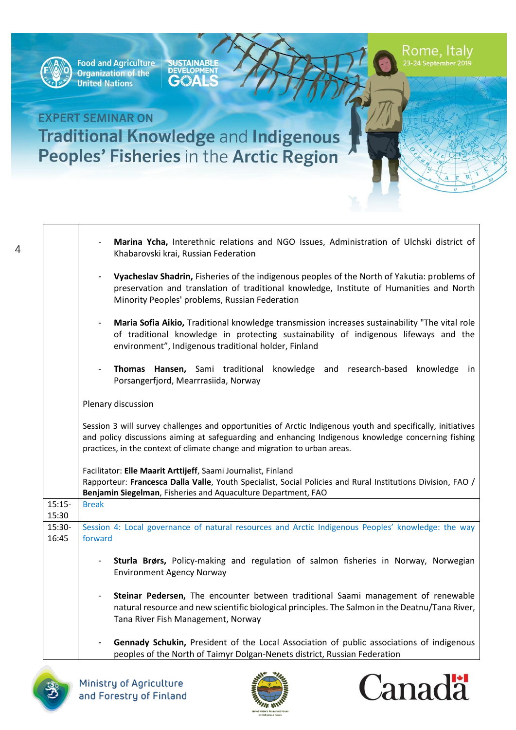

 $\overline{4}$ 

Food and Agriculture<br>Organization of the<br>United Nations

SUSTAINABLE<br>DEVELOPMENT<br>G**ALS** 

Rome, Italy<br>23-24 September 2019

|                   | Marina Ycha, Interethnic relations and NGO Issues, Administration of Ulchski district of<br>Khabarovski krai, Russian Federation                                                                                                                                                                |  |  |  |  |
|-------------------|-------------------------------------------------------------------------------------------------------------------------------------------------------------------------------------------------------------------------------------------------------------------------------------------------|--|--|--|--|
|                   | Vyacheslav Shadrin, Fisheries of the indigenous peoples of the North of Yakutia: problems of<br>preservation and translation of traditional knowledge, Institute of Humanities and North<br>Minority Peoples' problems, Russian Federation                                                      |  |  |  |  |
|                   | Maria Sofia Aikio, Traditional knowledge transmission increases sustainability "The vital role<br>$\blacksquare$<br>of traditional knowledge in protecting sustainability of indigenous lifeways and the<br>environment", Indigenous traditional holder, Finland                                |  |  |  |  |
|                   | Thomas Hansen, Sami traditional knowledge and research-based<br>knowledge in<br>Porsangerfjord, Mearrrasiida, Norway                                                                                                                                                                            |  |  |  |  |
|                   | Plenary discussion                                                                                                                                                                                                                                                                              |  |  |  |  |
|                   | Session 3 will survey challenges and opportunities of Arctic Indigenous youth and specifically, initiatives<br>and policy discussions aiming at safeguarding and enhancing Indigenous knowledge concerning fishing<br>practices, in the context of climate change and migration to urban areas. |  |  |  |  |
|                   | Facilitator: Elle Maarit Arttijeff, Saami Journalist, Finland<br>Rapporteur: Francesca Dalla Valle, Youth Specialist, Social Policies and Rural Institutions Division, FAO /<br>Benjamin Siegelman, Fisheries and Aquaculture Department, FAO                                                   |  |  |  |  |
| $15:15-$<br>15:30 | <b>Break</b>                                                                                                                                                                                                                                                                                    |  |  |  |  |
| 15:30-<br>16:45   | Session 4: Local governance of natural resources and Arctic Indigenous Peoples' knowledge: the way<br>forward                                                                                                                                                                                   |  |  |  |  |
|                   | Sturla Brørs, Policy-making and regulation of salmon fisheries in Norway, Norwegian<br><b>Environment Agency Norway</b>                                                                                                                                                                         |  |  |  |  |
|                   | Steinar Pedersen, The encounter between traditional Saami management of renewable<br>natural resource and new scientific biological principles. The Salmon in the Deatnu/Tana River,<br>Tana River Fish Management, Norway                                                                      |  |  |  |  |
|                   | Gennady Schukin, President of the Local Association of public associations of indigenous<br>peoples of the North of Taimyr Dolgan-Nenets district, Russian Federation                                                                                                                           |  |  |  |  |





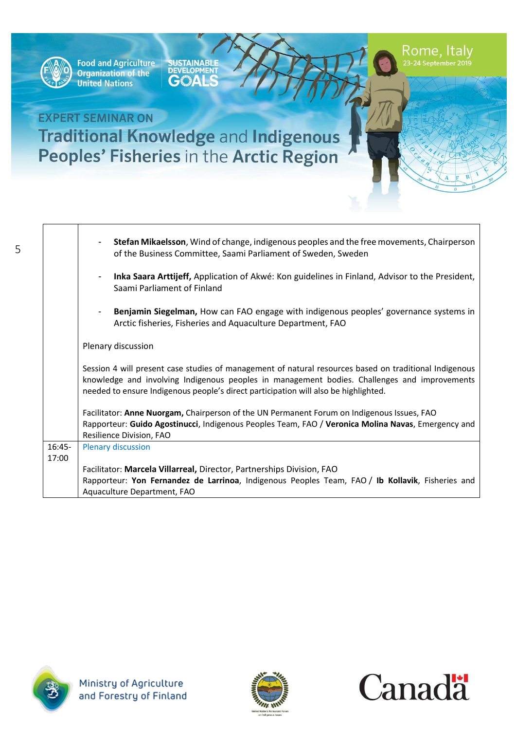

5

Food and Agriculture<br>Organization of the<br>United Nations

SUSTAINABLE<br>DEVELOPMENT<br>G**ALS** 

Rome, Italy<br>23-24 September 2019

|          | Stefan Mikaelsson, Wind of change, indigenous peoples and the free movements, Chairperson<br>of the Business Committee, Saami Parliament of Sweden, Sweden                                                                                                                                    |
|----------|-----------------------------------------------------------------------------------------------------------------------------------------------------------------------------------------------------------------------------------------------------------------------------------------------|
|          | Inka Saara Arttijeff, Application of Akwé: Kon guidelines in Finland, Advisor to the President,<br>Saami Parliament of Finland                                                                                                                                                                |
|          | Benjamin Siegelman, How can FAO engage with indigenous peoples' governance systems in<br>Arctic fisheries, Fisheries and Aquaculture Department, FAO                                                                                                                                          |
|          | Plenary discussion                                                                                                                                                                                                                                                                            |
|          | Session 4 will present case studies of management of natural resources based on traditional Indigenous<br>knowledge and involving Indigenous peoples in management bodies. Challenges and improvements<br>needed to ensure Indigenous people's direct participation will also be highlighted. |
|          | Facilitator: Anne Nuorgam, Chairperson of the UN Permanent Forum on Indigenous Issues, FAO<br>Rapporteur: Guido Agostinucci, Indigenous Peoples Team, FAO / Veronica Molina Navas, Emergency and<br>Resilience Division, FAO                                                                  |
| $16:45-$ | <b>Plenary discussion</b>                                                                                                                                                                                                                                                                     |
| 17:00    |                                                                                                                                                                                                                                                                                               |
|          | Facilitator: Marcela Villarreal, Director, Partnerships Division, FAO                                                                                                                                                                                                                         |
|          | Rapporteur: Yon Fernandez de Larrinoa, Indigenous Peoples Team, FAO / Ib Kollavik, Fisheries and                                                                                                                                                                                              |
|          | Aquaculture Department, FAO                                                                                                                                                                                                                                                                   |





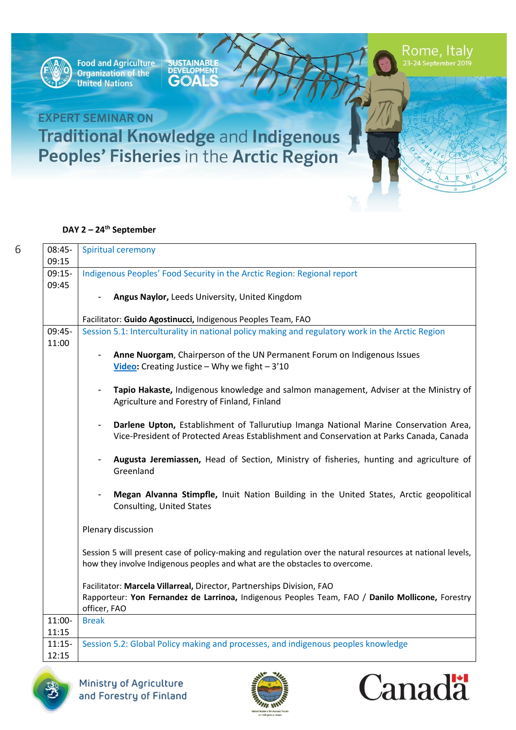

6

Food and Agriculture<br>Organization of the<br>United Nations

SUSTAINABLE<br>DEVELOPMENT<br>G

# **EXPERT SEMINAR ON Traditional Knowledge and Indigenous** Peoples' Fisheries in the Arctic Region

#### **DAY 2 – 24th September**

| 08:45-                     | Spiritual ceremony                                                                                                                                                                                            |
|----------------------------|---------------------------------------------------------------------------------------------------------------------------------------------------------------------------------------------------------------|
| 09:15<br>$09:15-$<br>09:45 | Indigenous Peoples' Food Security in the Arctic Region: Regional report                                                                                                                                       |
|                            | Angus Naylor, Leeds University, United Kingdom                                                                                                                                                                |
|                            | Facilitator: Guido Agostinucci, Indigenous Peoples Team, FAO                                                                                                                                                  |
| 09:45-<br>11:00            | Session 5.1: Interculturality in national policy making and regulatory work in the Arctic Region                                                                                                              |
|                            | Anne Nuorgam, Chairperson of the UN Permanent Forum on Indigenous Issues<br>Video: Creating Justice - Why we fight $-3'10$                                                                                    |
|                            | Tapio Hakaste, Indigenous knowledge and salmon management, Adviser at the Ministry of<br>$\blacksquare$<br>Agriculture and Forestry of Finland, Finland                                                       |
|                            | Darlene Upton, Establishment of Tallurutiup Imanga National Marine Conservation Area,<br>$\overline{\phantom{a}}$<br>Vice-President of Protected Areas Establishment and Conservation at Parks Canada, Canada |
|                            | Augusta Jeremiassen, Head of Section, Ministry of fisheries, hunting and agriculture of<br>Greenland                                                                                                          |
|                            | Megan Alvanna Stimpfle, Inuit Nation Building in the United States, Arctic geopolitical<br>Consulting, United States                                                                                          |
|                            | Plenary discussion                                                                                                                                                                                            |
|                            | Session 5 will present case of policy-making and regulation over the natural resources at national levels,<br>how they involve Indigenous peoples and what are the obstacles to overcome.                     |
|                            | Facilitator: Marcela Villarreal, Director, Partnerships Division, FAO<br>Rapporteur: Yon Fernandez de Larrinoa, Indigenous Peoples Team, FAO / Danilo Mollicone, Forestry<br>officer, FAO                     |
| $11:00-$<br>11:15          | <b>Break</b>                                                                                                                                                                                                  |
| $11:15-$<br>12:15          | Session 5.2: Global Policy making and processes, and indigenous peoples knowledge                                                                                                                             |





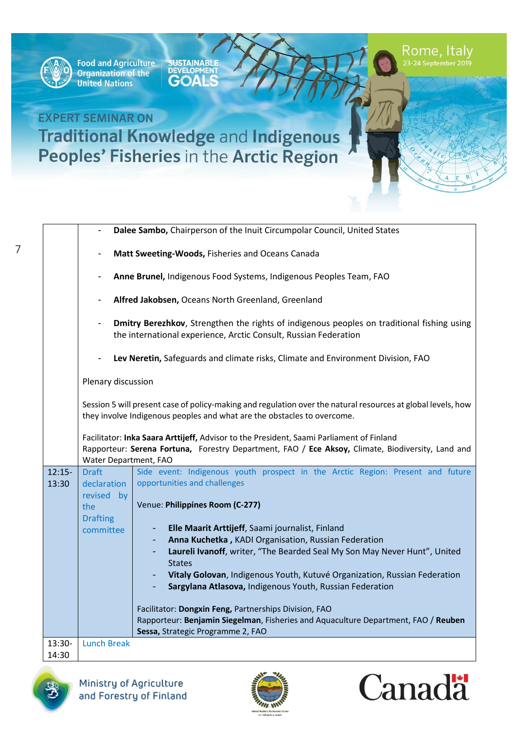

 $\overline{7}$ 

Food and Agriculture<br>Organization of the<br>United Nations

SUSTAINABLE<br>DEVELOPMENT<br>G**ALS** 

|          |                              | Dalee Sambo, Chairperson of the Inuit Circumpolar Council, United States                                                                                                                      |
|----------|------------------------------|-----------------------------------------------------------------------------------------------------------------------------------------------------------------------------------------------|
|          |                              | Matt Sweeting-Woods, Fisheries and Oceans Canada                                                                                                                                              |
|          | $\blacksquare$               | Anne Brunel, Indigenous Food Systems, Indigenous Peoples Team, FAO                                                                                                                            |
|          | $\blacksquare$               | Alfred Jakobsen, Oceans North Greenland, Greenland                                                                                                                                            |
|          | $\overline{\phantom{a}}$     | Dmitry Berezhkov, Strengthen the rights of indigenous peoples on traditional fishing using<br>the international experience, Arctic Consult, Russian Federation                                |
|          | $\overline{\phantom{a}}$     | Lev Neretin, Safeguards and climate risks, Climate and Environment Division, FAO                                                                                                              |
|          | Plenary discussion           |                                                                                                                                                                                               |
|          |                              | Session 5 will present case of policy-making and regulation over the natural resources at global levels, how<br>they involve Indigenous peoples and what are the obstacles to overcome.       |
|          | Water Department, FAO        | Facilitator: Inka Saara Arttijeff, Advisor to the President, Saami Parliament of Finland<br>Rapporteur: Serena Fortuna, Forestry Department, FAO / Ece Aksoy, Climate, Biodiversity, Land and |
| $12:15-$ | <b>Draft</b>                 | Side event: Indigenous youth prospect in the Arctic Region: Present and future                                                                                                                |
| 13:30    | declaration                  | opportunities and challenges                                                                                                                                                                  |
|          | revised by                   |                                                                                                                                                                                               |
|          | the                          | Venue: Philippines Room (C-277)                                                                                                                                                               |
|          | <b>Drafting</b><br>committee | Elle Maarit Arttijeff, Saami journalist, Finland                                                                                                                                              |
|          |                              | Anna Kuchetka, KADI Organisation, Russian Federation                                                                                                                                          |
|          |                              | Laureli Ivanoff, writer, "The Bearded Seal My Son May Never Hunt", United<br><b>States</b>                                                                                                    |
|          |                              | Vitaly Golovan, Indigenous Youth, Kutuvé Organization, Russian Federation<br>Sargylana Atlasova, Indigenous Youth, Russian Federation                                                         |
|          |                              |                                                                                                                                                                                               |
|          |                              |                                                                                                                                                                                               |
|          |                              | Facilitator: Dongxin Feng, Partnerships Division, FAO<br>Rapporteur: Benjamin Siegelman, Fisheries and Aquaculture Department, FAO / Reuben                                                   |
| 13:30-   | <b>Lunch Break</b>           | Sessa, Strategic Programme 2, FAO                                                                                                                                                             |